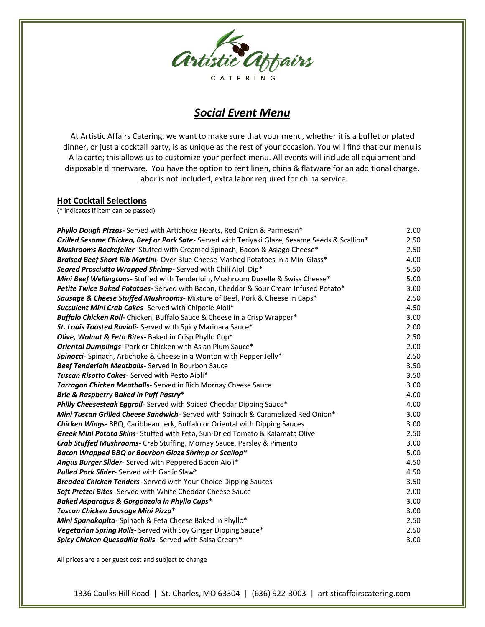

# *Social Event Menu*

At Artistic Affairs Catering, we want to make sure that your menu, whether it is a buffet or plated dinner, or just a cocktail party, is as unique as the rest of your occasion. You will find that our menu is A la carte; this allows us to customize your perfect menu. All events will include all equipment and disposable dinnerware. You have the option to rent linen, china & flatware for an additional charge. Labor is not included, extra labor required for china service.

## **Hot Cocktail Selections**

(\* indicates if item can be passed)

| Phyllo Dough Pizzas- Served with Artichoke Hearts, Red Onion & Parmesan*                       | 2.00 |
|------------------------------------------------------------------------------------------------|------|
| Grilled Sesame Chicken, Beef or Pork Sate-Served with Teriyaki Glaze, Sesame Seeds & Scallion* | 2.50 |
| Mushrooms Rockefeller-Stuffed with Creamed Spinach, Bacon & Asiago Cheese*                     | 2.50 |
| Braised Beef Short Rib Martini- Over Blue Cheese Mashed Potatoes in a Mini Glass*              | 4.00 |
| Seared Prosciutto Wrapped Shrimp-Served with Chili Aioli Dip*                                  | 5.50 |
| Mini Beef Wellingtons- Stuffed with Tenderloin, Mushroom Duxelle & Swiss Cheese*               | 5.00 |
| Petite Twice Baked Potatoes- Served with Bacon, Cheddar & Sour Cream Infused Potato*           | 3.00 |
| Sausage & Cheese Stuffed Mushrooms- Mixture of Beef, Pork & Cheese in Caps*                    | 2.50 |
| <b>Succulent Mini Crab Cakes-</b> Served with Chipotle Aioli*                                  | 4.50 |
| Buffalo Chicken Roll- Chicken, Buffalo Sauce & Cheese in a Crisp Wrapper*                      | 3.00 |
| St. Louis Toasted Ravioli- Served with Spicy Marinara Sauce*                                   | 2.00 |
| <b>Olive, Walnut &amp; Feta Bites-</b> Baked in Crisp Phyllo Cup <sup>*</sup>                  | 2.50 |
| <b>Oriental Dumplings</b> -Pork or Chicken with Asian Plum Sauce*                              | 2.00 |
| Spinocci- Spinach, Artichoke & Cheese in a Wonton with Pepper Jelly*                           | 2.50 |
| Beef Tenderloin Meatballs- Served in Bourbon Sauce                                             | 3.50 |
| <b>Tuscan Risotto Cakes-Served with Pesto Aioli*</b>                                           | 3.50 |
| Tarragon Chicken Meatballs- Served in Rich Mornay Cheese Sauce                                 | 3.00 |
| Brie & Raspberry Baked in Puff Pastry*                                                         | 4.00 |
| <b>Philly Cheesesteak Eggroll-</b> Served with Spiced Cheddar Dipping Sauce*                   | 4.00 |
| Mini Tuscan Grilled Cheese Sandwich-Served with Spinach & Caramelized Red Onion*               | 3.00 |
| Chicken Wings- BBQ, Caribbean Jerk, Buffalo or Oriental with Dipping Sauces                    | 3.00 |
| Greek Mini Potato Skins- Stuffed with Feta, Sun-Dried Tomato & Kalamata Olive                  | 2.50 |
| Crab Stuffed Mushrooms- Crab Stuffing, Mornay Sauce, Parsley & Pimento                         | 3.00 |
| Bacon Wrapped BBQ or Bourbon Glaze Shrimp or Scallop*                                          | 5.00 |
| Angus Burger Slider- Served with Peppered Bacon Aioli*                                         | 4.50 |
| <b>Pulled Pork Slider-</b> Served with Garlic Slaw*                                            | 4.50 |
| Breaded Chicken Tenders- Served with Your Choice Dipping Sauces                                | 3.50 |
| Soft Pretzel Bites- Served with White Cheddar Cheese Sauce                                     | 2.00 |
| Baked Asparagus & Gorgonzola in Phyllo Cups*                                                   | 3.00 |
| Tuscan Chicken Sausage Mini Pizza*                                                             | 3.00 |
| Mini Spanakopita-Spinach & Feta Cheese Baked in Phyllo*                                        | 2.50 |
| Vegetarian Spring Rolls- Served with Soy Ginger Dipping Sauce*                                 | 2.50 |
| Spicy Chicken Quesadilla Rolls-Served with Salsa Cream*                                        | 3.00 |

All prices are a per guest cost and subject to change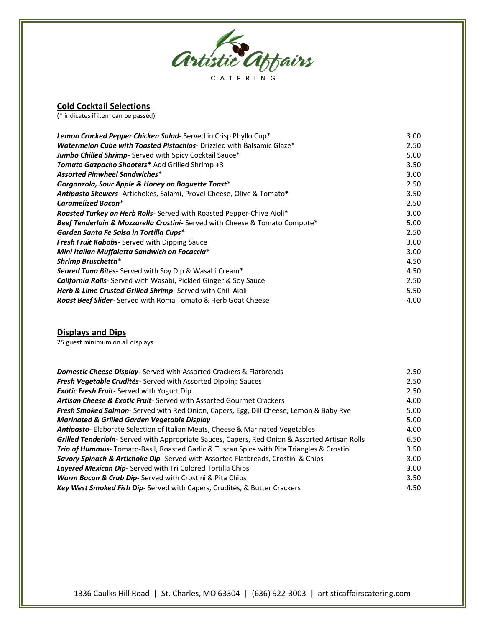

## **Cold Cocktail Selections**

(\* indicates if item can be passed)

| Lemon Cracked Pepper Chicken Salad-Served in Crisp Phyllo Cup <sup>*</sup>    | 3.00 |
|-------------------------------------------------------------------------------|------|
| <b>Watermelon Cube with Toasted Pistachios-</b> Drizzled with Balsamic Glaze* | 2.50 |
| <b>Jumbo Chilled Shrimp</b> - Served with Spicy Cocktail Sauce*               | 5.00 |
| Tomato Gazpacho Shooters* Add Grilled Shrimp +3                               | 3.50 |
| <b>Assorted Pinwheel Sandwiches*</b>                                          | 3.00 |
| Gorgonzola, Sour Apple & Honey on Baguette Toast*                             | 2.50 |
| Antipasto Skewers-Artichokes, Salami, Provel Cheese, Olive & Tomato*          | 3.50 |
| <b>Caramelized Bacon*</b>                                                     | 2.50 |
| Roasted Turkey on Herb Rolls- Served with Roasted Pepper-Chive Aioli*         | 3.00 |
| Beef Tenderloin & Mozzarella Crostini- Served with Cheese & Tomato Compote*   | 5.00 |
| Garden Santa Fe Salsa in Tortilla Cups*                                       | 2.50 |
| <b>Fresh Fruit Kabobs</b> - Served with Dipping Sauce                         | 3.00 |
| Mini Italian Muffaletta Sandwich on Focaccia*                                 | 3.00 |
| Shrimp Bruschetta*                                                            | 4.50 |
| Seared Tuna Bites- Served with Soy Dip & Wasabi Cream*                        | 4.50 |
| <b>California Rolls-</b> Served with Wasabi, Pickled Ginger & Soy Sauce       | 2.50 |
| Herb & Lime Crusted Grilled Shrimp-Served with Chili Aioli                    | 5.50 |
| Roast Beef Slider- Served with Roma Tomato & Herb Goat Cheese                 | 4.00 |

### **Displays and Dips**

25 guest minimum on all displays

| <b>Domestic Cheese Display-</b> Served with Assorted Crackers & Flatbreads                             | 2.50 |
|--------------------------------------------------------------------------------------------------------|------|
| Fresh Vegetable Crudités-Served with Assorted Dipping Sauces                                           | 2.50 |
| <b>Exotic Fresh Fruit-</b> Served with Yogurt Dip                                                      | 2.50 |
| <b>Artisan Cheese &amp; Exotic Fruit-</b> Served with Assorted Gourmet Crackers                        | 4.00 |
| <b>Fresh Smoked Salmon-</b> Served with Red Onion, Capers, Egg, Dill Cheese, Lemon & Baby Rye          | 5.00 |
| <b>Marinated &amp; Grilled Garden Vegetable Display</b>                                                | 5.00 |
| Antipasto- Elaborate Selection of Italian Meats, Cheese & Marinated Vegetables                         | 4.00 |
| <b>Grilled Tenderloin</b> - Served with Appropriate Sauces, Capers, Red Onion & Assorted Artisan Rolls | 6.50 |
| <b>Trio of Hummus</b> -Tomato-Basil, Roasted Garlic & Tuscan Spice with Pita Triangles & Crostini      | 3.50 |
| Savory Spinach & Artichoke Dip-Served with Assorted Flatbreads, Crostini & Chips                       | 3.00 |
| Layered Mexican Dip-Served with Tri Colored Tortilla Chips                                             | 3.00 |
| <b>Warm Bacon &amp; Crab Dip-</b> Served with Crostini & Pita Chips                                    | 3.50 |
| Key West Smoked Fish Dip-Served with Capers, Crudités, & Butter Crackers                               | 4.50 |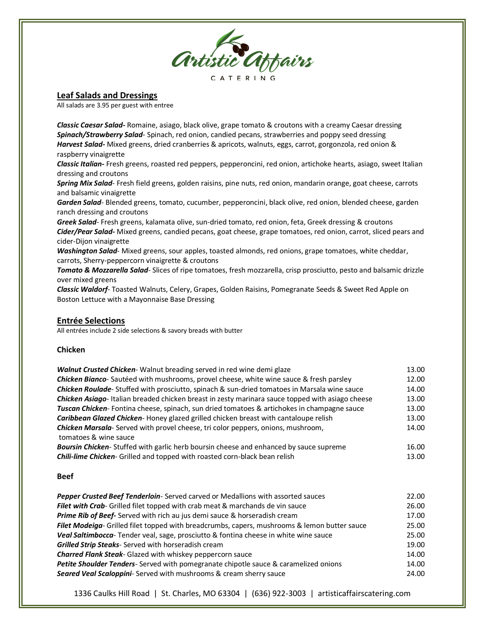

#### **Leaf Salads and Dressings**

All salads are 3.95 per guest with entree

*Classic Caesar Salad-* Romaine, asiago, black olive, grape tomato & croutons with a creamy Caesar dressing *Spinach/Strawberry Salad*- Spinach, red onion, candied pecans, strawberries and poppy seed dressing *Harvest Salad-* Mixed greens, dried cranberries & apricots, walnuts, eggs, carrot, gorgonzola, red onion & raspberry vinaigrette

*Classic Italian-* Fresh greens, roasted red peppers, pepperoncini, red onion, artichoke hearts, asiago, sweet Italian dressing and croutons

*Spring Mix Salad*- Fresh field greens, golden raisins, pine nuts, red onion, mandarin orange, goat cheese, carrots and balsamic vinaigrette

*Garden Salad*- Blended greens, tomato, cucumber, pepperoncini, black olive, red onion, blended cheese, garden ranch dressing and croutons

*Greek Salad*- Fresh greens, kalamata olive, sun-dried tomato, red onion, feta, Greek dressing & croutons *Cider/Pear Salad-* Mixed greens, candied pecans, goat cheese, grape tomatoes, red onion, carrot, sliced pears and cider-Dijon vinaigrette

*Washington Salad*- Mixed greens, sour apples, toasted almonds, red onions, grape tomatoes, white cheddar, carrots, Sherry-peppercorn vinaigrette & croutons

*Tomato & Mozzarella Salad*- Slices of ripe tomatoes, fresh mozzarella, crisp prosciutto, pesto and balsamic drizzle over mixed greens

*Classic Waldorf*- Toasted Walnuts, Celery, Grapes, Golden Raisins, Pomegranate Seeds & Sweet Red Apple on Boston Lettuce with a Mayonnaise Base Dressing

#### **Entrée Selections**

All entrées include 2 side selections & savory breads with butter

#### **Chicken**

| Walnut Crusted Chicken- Walnut breading served in red wine demi glaze                                   | 13.00 |
|---------------------------------------------------------------------------------------------------------|-------|
| Chicken Bianco-Sautéed with mushrooms, provel cheese, white wine sauce & fresh parsley                  | 12.00 |
| <b>Chicken Roulade</b> -Stuffed with prosciutto, spinach & sun-dried tomatoes in Marsala wine sauce     | 14.00 |
| <b>Chicken Asiago-</b> Italian breaded chicken breast in zesty marinara sauce topped with asiago cheese | 13.00 |
| Tuscan Chicken-Fontina cheese, spinach, sun dried tomatoes & artichokes in champagne sauce              | 13.00 |
| Caribbean Glazed Chicken-Honey glazed grilled chicken breast with cantaloupe relish                     | 13.00 |
| <b>Chicken Marsala-</b> Served with provel cheese, tri color peppers, onions, mushroom,                 | 14.00 |
| tomatoes & wine sauce                                                                                   |       |
| <b>Boursin Chicken-</b> Stuffed with garlic herb boursin cheese and enhanced by sauce supreme           | 16.00 |
| <b>Chili-lime Chicken-</b> Grilled and topped with roasted corn-black bean relish                       | 13.00 |

#### **Beef**

| Pepper Crusted Beef Tenderloin-Served carved or Medallions with assorted sauces             | 22.00 |
|---------------------------------------------------------------------------------------------|-------|
| Filet with Crab- Grilled filet topped with crab meat & marchands de vin sauce               | 26.00 |
| <b>Prime Rib of Beef-</b> Served with rich au jus demi sauce & horseradish cream            | 17.00 |
| Filet Modeiga-Grilled filet topped with breadcrumbs, capers, mushrooms & lemon butter sauce | 25.00 |
| Veal Saltimbocca-Tender veal, sage, prosciutto & fontina cheese in white wine sauce         | 25.00 |
| Grilled Strip Steaks- Served with horseradish cream                                         | 19.00 |
| <b>Charred Flank Steak-</b> Glazed with whiskey peppercorn sauce                            | 14.00 |
| <b>Petite Shoulder Tenders</b> -Served with pomegranate chipotle sauce & caramelized onions | 14.00 |
| <b>Seared Veal Scaloppini-</b> Served with mushrooms & cream sherry sauce                   | 24.00 |

1336 Caulks Hill Road | St. Charles, MO 63304 | (636) 922-3003 | artisticaffairscatering.com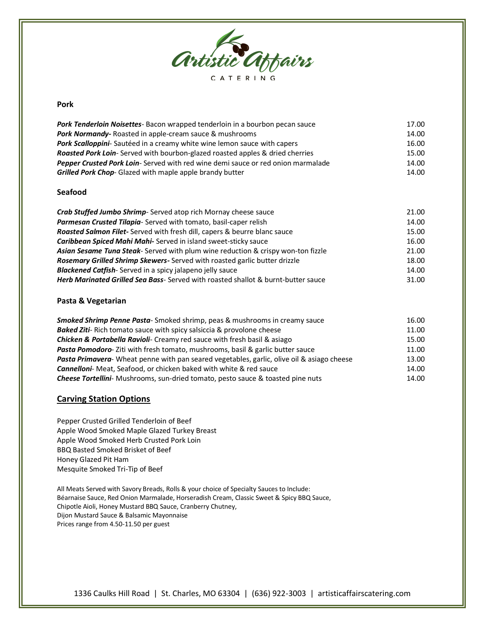

#### **Pork**

| Pork Tenderloin Noisettes- Bacon wrapped tenderloin in a bourbon pecan sauce         | 17.00 |
|--------------------------------------------------------------------------------------|-------|
| <b>Pork Normandy-Roasted in apple-cream sauce &amp; mushrooms</b>                    | 14.00 |
| <b>Pork Scalloppini-</b> Sautéed in a creamy white wine lemon sauce with capers      | 16.00 |
| <b>Roasted Pork Loin-</b> Served with bourbon-glazed roasted apples & dried cherries | 15.00 |
| Pepper Crusted Pork Loin-Served with red wine demi sauce or red onion marmalade      | 14.00 |
| <b>Grilled Pork Chop-</b> Glazed with maple apple brandy butter                      | 14.00 |

#### **Seafood**

| 21.00 |
|-------|
| 14.00 |
| 15.00 |
| 16.00 |
| 21.00 |
| 18.00 |
| 14.00 |
| 31.00 |
|       |

#### **Pasta & Vegetarian**

| Smoked Shrimp Penne Pasta-Smoked shrimp, peas & mushrooms in creamy sauce                  | 16.00 |
|--------------------------------------------------------------------------------------------|-------|
| <b>Baked Ziti-</b> Rich tomato sauce with spicy salsiccia & provolone cheese               | 11.00 |
| <b>Chicken &amp; Portabella Ravioli-</b> Creamy red sauce with fresh basil & asiago        | 15.00 |
| <b>Pasta Pomodoro-</b> Ziti with fresh tomato, mushrooms, basil & garlic butter sauce      | 11.00 |
| Pasta Primavera- Wheat penne with pan seared vegetables, garlic, olive oil & asiago cheese | 13.00 |
| <b>Cannelloni-</b> Meat, Seafood, or chicken baked with white & red sauce                  | 14.00 |
| <b>Cheese Tortellini</b> - Mushrooms, sun-dried tomato, pesto sauce & toasted pine nuts    | 14.00 |

### **Carving Station Options**

Pepper Crusted Grilled Tenderloin of Beef Apple Wood Smoked Maple Glazed Turkey Breast Apple Wood Smoked Herb Crusted Pork Loin BBQ Basted Smoked Brisket of Beef Honey Glazed Pit Ham Mesquite Smoked Tri-Tip of Beef

All Meats Served with Savory Breads, Rolls & your choice of Specialty Sauces to Include: Béarnaise Sauce, Red Onion Marmalade, Horseradish Cream, Classic Sweet & Spicy BBQ Sauce, Chipotle Aioli, Honey Mustard BBQ Sauce, Cranberry Chutney, Dijon Mustard Sauce & Balsamic Mayonnaise Prices range from 4.50-11.50 per guest